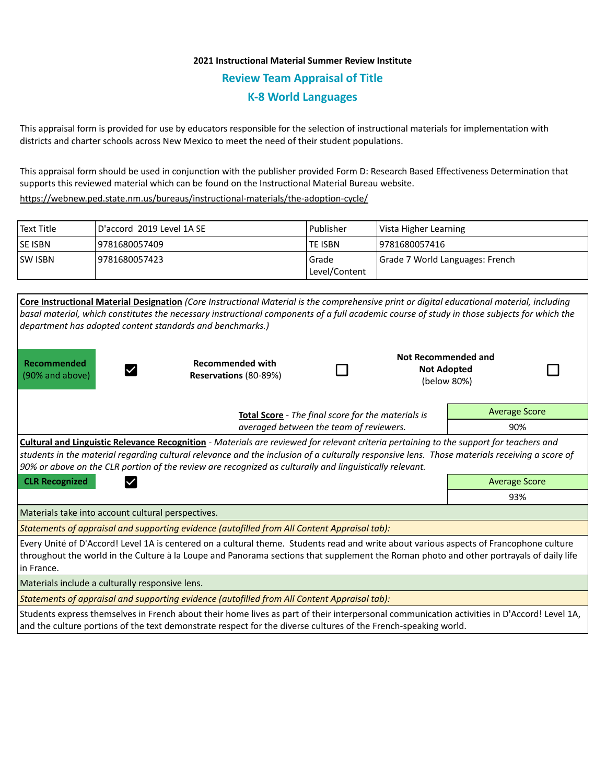## **2021 Instructional Material Summer Review Institute Review Team Appraisal of Title K-8 World Languages**

This appraisal form is provided for use by educators responsible for the selection of instructional materials for implementation with districts and charter schools across New Mexico to meet the need of their student populations.

This appraisal form should be used in conjunction with the publisher provided Form D: Research Based Effectiveness Determination that supports this reviewed material which can be found on the Instructional Material Bureau website.

<https://webnew.ped.state.nm.us/bureaus/instructional-materials/the-adoption-cycle/>

| Text Title     | D'accord 2019 Level 1A SE | Publisher              | Vista Higher Learning           |
|----------------|---------------------------|------------------------|---------------------------------|
| <b>SE ISBN</b> | 9781680057409             | <b>TE ISBN</b>         | 9781680057416                   |
| <b>SW ISBN</b> | 9781680057423             | Grade<br>Level/Content | Grade 7 World Languages: French |

| department has adopted content standards and benchmarks.)                                                                                                                                                                                                                                                                                                                                                  | <b>Core Instructional Material Designation (Core Instructional Material is the comprehensive print or digital educational material, including</b><br>basal material, which constitutes the necessary instructional components of a full academic course of study in those subjects for which the |  |                                                                 |                      |     |  |  |  |
|------------------------------------------------------------------------------------------------------------------------------------------------------------------------------------------------------------------------------------------------------------------------------------------------------------------------------------------------------------------------------------------------------------|--------------------------------------------------------------------------------------------------------------------------------------------------------------------------------------------------------------------------------------------------------------------------------------------------|--|-----------------------------------------------------------------|----------------------|-----|--|--|--|
| Recommended<br>(90% and above)                                                                                                                                                                                                                                                                                                                                                                             | <b>Recommended with</b><br>Reservations (80-89%)                                                                                                                                                                                                                                                 |  | <b>Not Recommended and</b><br><b>Not Adopted</b><br>(below 80%) |                      |     |  |  |  |
| Total Score - The final score for the materials is                                                                                                                                                                                                                                                                                                                                                         |                                                                                                                                                                                                                                                                                                  |  |                                                                 | <b>Average Score</b> |     |  |  |  |
|                                                                                                                                                                                                                                                                                                                                                                                                            | averaged between the team of reviewers.                                                                                                                                                                                                                                                          |  |                                                                 |                      | 90% |  |  |  |
| <b>Cultural and Linguistic Relevance Recognition</b> - Materials are reviewed for relevant criteria pertaining to the support for teachers and<br>students in the material regarding cultural relevance and the inclusion of a culturally responsive lens. Those materials receiving a score of<br>90% or above on the CLR portion of the review are recognized as culturally and linguistically relevant. |                                                                                                                                                                                                                                                                                                  |  |                                                                 |                      |     |  |  |  |
| <b>CLR Recognized</b>                                                                                                                                                                                                                                                                                                                                                                                      |                                                                                                                                                                                                                                                                                                  |  |                                                                 | <b>Average Score</b> |     |  |  |  |
|                                                                                                                                                                                                                                                                                                                                                                                                            |                                                                                                                                                                                                                                                                                                  |  |                                                                 | 93%                  |     |  |  |  |
| Materials take into account cultural perspectives.                                                                                                                                                                                                                                                                                                                                                         |                                                                                                                                                                                                                                                                                                  |  |                                                                 |                      |     |  |  |  |
|                                                                                                                                                                                                                                                                                                                                                                                                            | Statements of appraisal and supporting evidence (autofilled from All Content Appraisal tab):                                                                                                                                                                                                     |  |                                                                 |                      |     |  |  |  |
| Every Unité of D'Accord! Level 1A is centered on a cultural theme. Students read and write about various aspects of Francophone culture<br>throughout the world in the Culture à la Loupe and Panorama sections that supplement the Roman photo and other portrayals of daily life<br>l in France.                                                                                                         |                                                                                                                                                                                                                                                                                                  |  |                                                                 |                      |     |  |  |  |
| Materials include a culturally responsive lens.                                                                                                                                                                                                                                                                                                                                                            |                                                                                                                                                                                                                                                                                                  |  |                                                                 |                      |     |  |  |  |
|                                                                                                                                                                                                                                                                                                                                                                                                            | Statements of appraisal and supporting evidence (autofilled from All Content Appraisal tab):                                                                                                                                                                                                     |  |                                                                 |                      |     |  |  |  |
|                                                                                                                                                                                                                                                                                                                                                                                                            | Students express themselves in French about their home lives as part of their interpersonal communication activities in D'Accord! Level 1A,<br>and the culture portions of the text demonstrate respect for the diverse cultures of the French-speaking world.                                   |  |                                                                 |                      |     |  |  |  |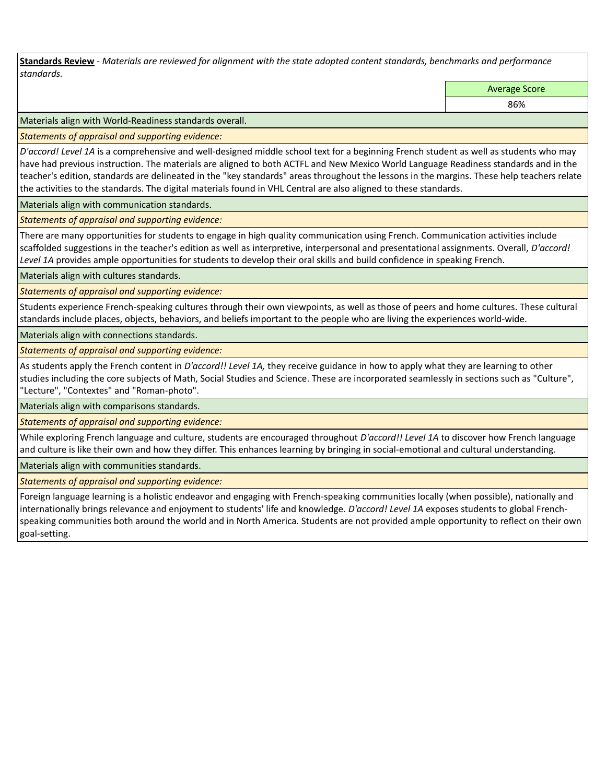**Standards Review** *- Materials are reviewed for alignment with the state adopted content standards, benchmarks and performance standards.*

Average Score

86%

Materials align with World-Readiness standards overall.

*Statements of appraisal and supporting evidence:* 

*D'accord! Level 1A* is a comprehensive and well-designed middle school text for a beginning French student as well as students who may have had previous instruction. The materials are aligned to both ACTFL and New Mexico World Language Readiness standards and in the teacher's edition, standards are delineated in the "key standards" areas throughout the lessons in the margins. These help teachers relate the activities to the standards. The digital materials found in VHL Central are also aligned to these standards.

Materials align with communication standards.

*Statements of appraisal and supporting evidence:* 

There are many opportunities for students to engage in high quality communication using French. Communication activities include scaffolded suggestions in the teacher's edition as well as interpretive, interpersonal and presentational assignments. Overall, *D'accord!*  Level 1A provides ample opportunities for students to develop their oral skills and build confidence in speaking French.

Materials align with cultures standards.

*Statements of appraisal and supporting evidence:* 

Students experience French-speaking cultures through their own viewpoints, as well as those of peers and home cultures. These cultural standards include places, objects, behaviors, and beliefs important to the people who are living the experiences world-wide.

Materials align with connections standards.

*Statements of appraisal and supporting evidence:* 

As students apply the French content in *D'accord!! Level 1A,* they receive guidance in how to apply what they are learning to other studies including the core subjects of Math, Social Studies and Science. These are incorporated seamlessly in sections such as "Culture", "Lecture", "Contextes" and "Roman-photo".

Materials align with comparisons standards.

*Statements of appraisal and supporting evidence:* 

While exploring French language and culture, students are encouraged throughout *D'accord!! Level 1A* to discover how French language and culture is like their own and how they differ. This enhances learning by bringing in social-emotional and cultural understanding.

Materials align with communities standards.

*Statements of appraisal and supporting evidence:* 

Foreign language learning is a holistic endeavor and engaging with French-speaking communities locally (when possible), nationally and internationally brings relevance and enjoyment to students' life and knowledge. *D'accord! Level 1A* exposes students to global Frenchspeaking communities both around the world and in North America. Students are not provided ample opportunity to reflect on their own goal-setting.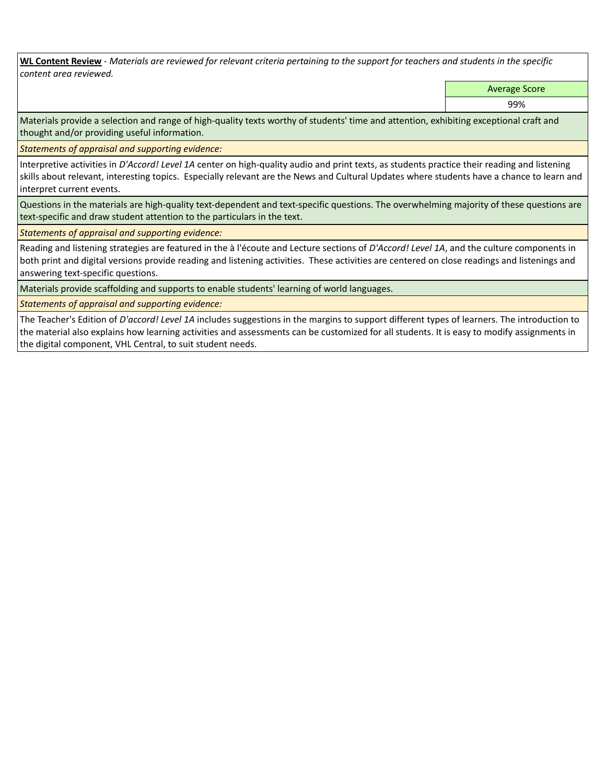**WL Content Review** *- Materials are reviewed for relevant criteria pertaining to the support for teachers and students in the specific content area reviewed.*

Average Score

99%

Materials provide a selection and range of high-quality texts worthy of students' time and attention, exhibiting exceptional craft and thought and/or providing useful information.

*Statements of appraisal and supporting evidence:* 

Interpretive activities in *D'Accord! Level 1A* center on high-quality audio and print texts, as students practice their reading and listening skills about relevant, interesting topics. Especially relevant are the News and Cultural Updates where students have a chance to learn and interpret current events.

Questions in the materials are high-quality text-dependent and text-specific questions. The overwhelming majority of these questions are text-specific and draw student attention to the particulars in the text.

*Statements of appraisal and supporting evidence:* 

Reading and listening strategies are featured in the à l'écoute and Lecture sections of *D'Accord! Level 1A*, and the culture components in both print and digital versions provide reading and listening activities. These activities are centered on close readings and listenings and answering text-specific questions.

Materials provide scaffolding and supports to enable students' learning of world languages.

*Statements of appraisal and supporting evidence:* 

The Teacher's Edition of *D'accord! Level 1A* includes suggestions in the margins to support different types of learners. The introduction to the material also explains how learning activities and assessments can be customized for all students. It is easy to modify assignments in the digital component, VHL Central, to suit student needs.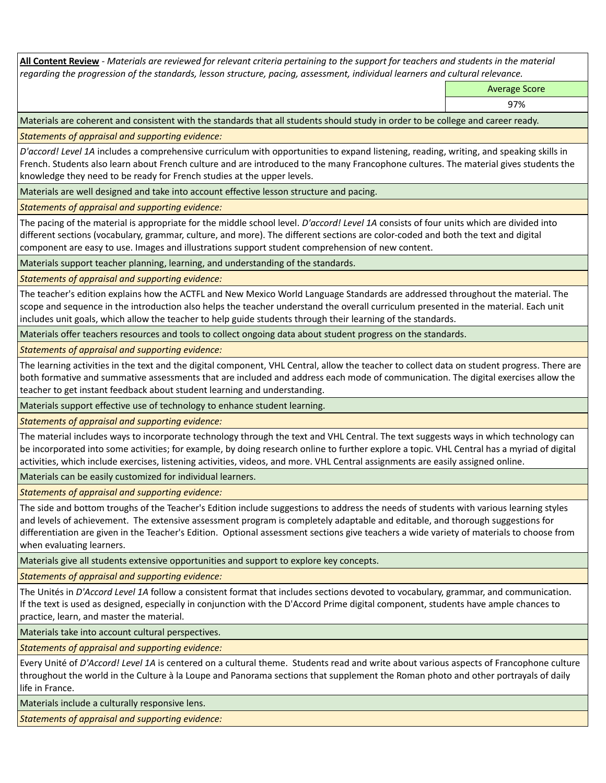**All Content Review** *- Materials are reviewed for relevant criteria pertaining to the support for teachers and students in the material regarding the progression of the standards, lesson structure, pacing, assessment, individual learners and cultural relevance.*

Average Score

97%

Materials are coherent and consistent with the standards that all students should study in order to be college and career ready.

*Statements of appraisal and supporting evidence:*

*D'accord! Level 1A* includes a comprehensive curriculum with opportunities to expand listening, reading, writing, and speaking skills in French. Students also learn about French culture and are introduced to the many Francophone cultures. The material gives students the knowledge they need to be ready for French studies at the upper levels.

Materials are well designed and take into account effective lesson structure and pacing.

*Statements of appraisal and supporting evidence:*

The pacing of the material is appropriate for the middle school level. *D'accord! Level 1A* consists of four units which are divided into different sections (vocabulary, grammar, culture, and more). The different sections are color-coded and both the text and digital component are easy to use. Images and illustrations support student comprehension of new content.

Materials support teacher planning, learning, and understanding of the standards.

*Statements of appraisal and supporting evidence:*

The teacher's edition explains how the ACTFL and New Mexico World Language Standards are addressed throughout the material. The scope and sequence in the introduction also helps the teacher understand the overall curriculum presented in the material. Each unit includes unit goals, which allow the teacher to help guide students through their learning of the standards.

Materials offer teachers resources and tools to collect ongoing data about student progress on the standards.

*Statements of appraisal and supporting evidence:*

The learning activities in the text and the digital component, VHL Central, allow the teacher to collect data on student progress. There are both formative and summative assessments that are included and address each mode of communication. The digital exercises allow the teacher to get instant feedback about student learning and understanding.

Materials support effective use of technology to enhance student learning.

*Statements of appraisal and supporting evidence:*

The material includes ways to incorporate technology through the text and VHL Central. The text suggests ways in which technology can be incorporated into some activities; for example, by doing research online to further explore a topic. VHL Central has a myriad of digital activities, which include exercises, listening activities, videos, and more. VHL Central assignments are easily assigned online.

Materials can be easily customized for individual learners.

*Statements of appraisal and supporting evidence:* 

The side and bottom troughs of the Teacher's Edition include suggestions to address the needs of students with various learning styles and levels of achievement. The extensive assessment program is completely adaptable and editable, and thorough suggestions for differentiation are given in the Teacher's Edition. Optional assessment sections give teachers a wide variety of materials to choose from when evaluating learners.

Materials give all students extensive opportunities and support to explore key concepts.

*Statements of appraisal and supporting evidence:*

The Unités in *D'Accord Level 1A* follow a consistent format that includes sections devoted to vocabulary, grammar, and communication. If the text is used as designed, especially in conjunction with the D'Accord Prime digital component, students have ample chances to practice, learn, and master the material.

Materials take into account cultural perspectives.

*Statements of appraisal and supporting evidence:*

Every Unité of *D'Accord! Level 1A* is centered on a cultural theme. Students read and write about various aspects of Francophone culture throughout the world in the Culture à la Loupe and Panorama sections that supplement the Roman photo and other portrayals of daily life in France.

Materials include a culturally responsive lens.

*Statements of appraisal and supporting evidence:*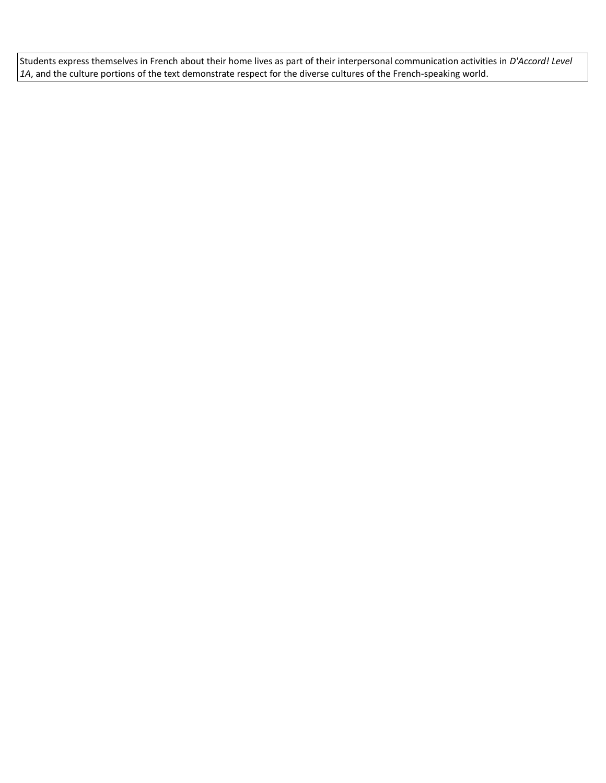Students express themselves in French about their home lives as part of their interpersonal communication activities in *D'Accord! Level 1A*, and the culture portions of the text demonstrate respect for the diverse cultures of the French-speaking world.